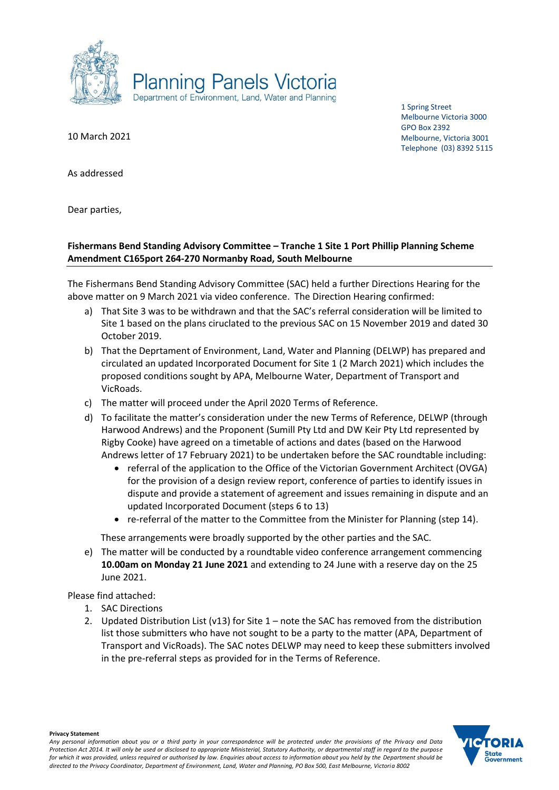

1 Spring Street Melbourne Victoria 3000 GPO Box 2392 Melbourne, Victoria 3001 Telephone (03) 8392 5115

10 March 2021

As addressed

Dear parties,

# **Fishermans Bend Standing Advisory Committee – Tranche 1 Site 1 Port Phillip Planning Scheme Amendment C165port 264-270 Normanby Road, South Melbourne**

The Fishermans Bend Standing Advisory Committee (SAC) held a further Directions Hearing for the above matter on 9 March 2021 via video conference. The Direction Hearing confirmed:

- a) That Site 3 was to be withdrawn and that the SAC's referral consideration will be limited to Site 1 based on the plans ciruclated to the previous SAC on 15 November 2019 and dated 30 October 2019.
- b) That the Deprtament of Environment, Land, Water and Planning (DELWP) has prepared and circulated an updated Incorporated Document for Site 1 (2 March 2021) which includes the proposed conditions sought by APA, Melbourne Water, Department of Transport and VicRoads.
- c) The matter will proceed under the April 2020 Terms of Reference.
- d) To facilitate the matter's consideration under the new Terms of Reference, DELWP (through Harwood Andrews) and the Proponent (Sumill Pty Ltd and DW Keir Pty Ltd represented by Rigby Cooke) have agreed on a timetable of actions and dates (based on the Harwood Andrews letter of 17 February 2021) to be undertaken before the SAC roundtable including:
	- referral of the application to the Office of the Victorian Government Architect (OVGA) for the provision of a design review report, conference of parties to identify issues in dispute and provide a statement of agreement and issues remaining in dispute and an updated Incorporated Document (steps 6 to 13)
	- re-referral of the matter to the Committee from the Minister for Planning (step 14).

These arrangements were broadly supported by the other parties and the SAC.

e) The matter will be conducted by a roundtable video conference arrangement commencing **10.00am on Monday 21 June 2021** and extending to 24 June with a reserve day on the 25 June 2021.

Please find attached:

- 1. SAC Directions
- 2. Updated Distribution List (v13) for Site 1 note the SAC has removed from the distribution list those submitters who have not sought to be a party to the matter (APA, Department of Transport and VicRoads). The SAC notes DELWP may need to keep these submitters involved in the pre-referral steps as provided for in the Terms of Reference.



**Privacy Statement**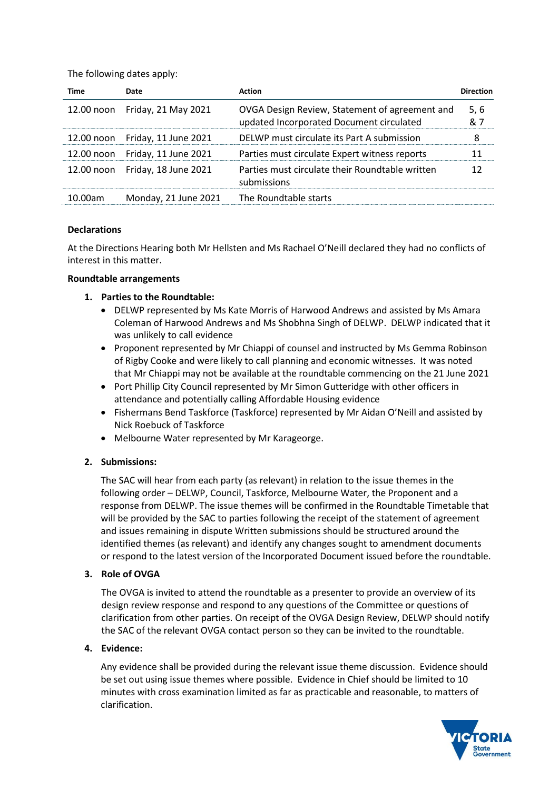The following dates apply:

| Time    | Date                            | Action                                                                                     | <b>Direction</b> |
|---------|---------------------------------|--------------------------------------------------------------------------------------------|------------------|
|         | 12.00 noon Friday, 21 May 2021  | OVGA Design Review, Statement of agreement and<br>updated Incorporated Document circulated | 5, 6<br>& 7      |
|         | 12.00 noon Friday, 11 June 2021 | DELWP must circulate its Part A submission                                                 | 8                |
|         | 12.00 noon Friday, 11 June 2021 | Parties must circulate Expert witness reports                                              | 11               |
|         | 12.00 noon Friday, 18 June 2021 | Parties must circulate their Roundtable written<br>submissions                             | 12               |
| 10.00am | Monday, 21 June 2021            | The Roundtable starts                                                                      |                  |

# **Declarations**

At the Directions Hearing both Mr Hellsten and Ms Rachael O'Neill declared they had no conflicts of interest in this matter.

#### **Roundtable arrangements**

# **1. Parties to the Roundtable:**

- DELWP represented by Ms Kate Morris of Harwood Andrews and assisted by Ms Amara Coleman of Harwood Andrews and Ms Shobhna Singh of DELWP. DELWP indicated that it was unlikely to call evidence
- Proponent represented by Mr Chiappi of counsel and instructed by Ms Gemma Robinson of Rigby Cooke and were likely to call planning and economic witnesses. It was noted that Mr Chiappi may not be available at the roundtable commencing on the 21 June 2021
- Port Phillip City Council represented by Mr Simon Gutteridge with other officers in attendance and potentially calling Affordable Housing evidence
- Fishermans Bend Taskforce (Taskforce) represented by Mr Aidan O'Neill and assisted by Nick Roebuck of Taskforce
- Melbourne Water represented by Mr Karageorge.

# **2. Submissions:**

The SAC will hear from each party (as relevant) in relation to the issue themes in the following order – DELWP, Council, Taskforce, Melbourne Water, the Proponent and a response from DELWP. The issue themes will be confirmed in the Roundtable Timetable that will be provided by the SAC to parties following the receipt of the statement of agreement and issues remaining in dispute Written submissions should be structured around the identified themes (as relevant) and identify any changes sought to amendment documents or respond to the latest version of the Incorporated Document issued before the roundtable.

# **3. Role of OVGA**

The OVGA is invited to attend the roundtable as a presenter to provide an overview of its design review response and respond to any questions of the Committee or questions of clarification from other parties. On receipt of the OVGA Design Review, DELWP should notify the SAC of the relevant OVGA contact person so they can be invited to the roundtable.

# **4. Evidence:**

Any evidence shall be provided during the relevant issue theme discussion. Evidence should be set out using issue themes where possible. Evidence in Chief should be limited to 10 minutes with cross examination limited as far as practicable and reasonable, to matters of clarification.

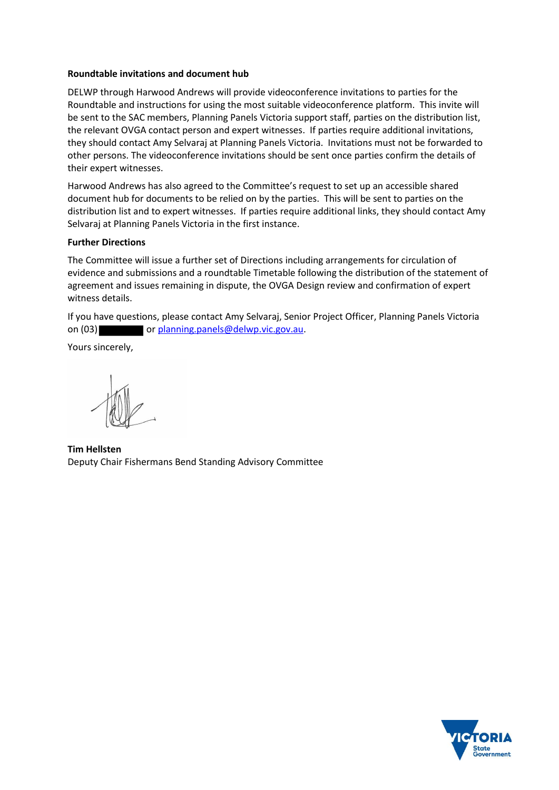#### **Roundtable invitations and document hub**

DELWP through Harwood Andrews will provide videoconference invitations to parties for the Roundtable and instructions for using the most suitable videoconference platform. This invite will be sent to the SAC members, Planning Panels Victoria support staff, parties on the distribution list, the relevant OVGA contact person and expert witnesses. If parties require additional invitations, they should contact Amy Selvaraj at Planning Panels Victoria. Invitations must not be forwarded to other persons. The videoconference invitations should be sent once parties confirm the details of their expert witnesses.

Harwood Andrews has also agreed to the Committee's request to set up an accessible shared document hub for documents to be relied on by the parties. This will be sent to parties on the distribution list and to expert witnesses. If parties require additional links, they should contact Amy Selvaraj at Planning Panels Victoria in the first instance.

# **Further Directions**

The Committee will issue a further set of Directions including arrangements for circulation of evidence and submissions and a roundtable Timetable following the distribution of the statement of agreement and issues remaining in dispute, the OVGA Design review and confirmation of expert witness details.

If you have questions, please contact Amy Selvaraj, Senior Project Officer, Planning Panels Victoria on (03) or [planning.panels@delwp.vic.gov.au.](mailto:planning.panels@delwp.vic.gov.au)

Yours sincerely,

**Tim Hellsten** Deputy Chair Fishermans Bend Standing Advisory Committee

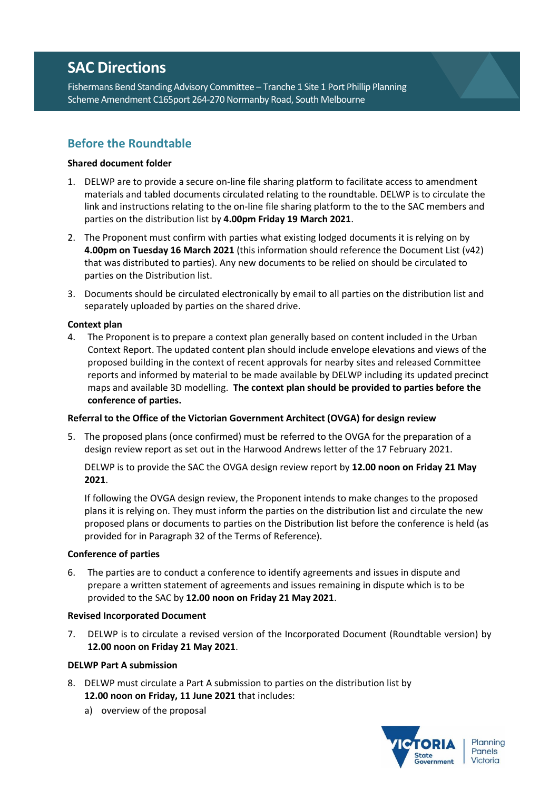# **SAC Directions**

Fishermans Bend Standing Advisory Committee – Tranche 1 Site 1 Port Phillip Planning Scheme Amendment C165port 264-270 Normanby Road, South Melbourne

# **Before the Roundtable**

# **Shared document folder**

- 1. DELWP are to provide a secure on-line file sharing platform to facilitate access to amendment materials and tabled documents circulated relating to the roundtable. DELWP is to circulate the link and instructions relating to the on-line file sharing platform to the to the SAC members and parties on the distribution list by **4.00pm Friday 19 March 2021**.
- 2. The Proponent must confirm with parties what existing lodged documents it is relying on by **4.00pm on Tuesday 16 March 2021** (this information should reference the Document List (v42) that was distributed to parties). Any new documents to be relied on should be circulated to parties on the Distribution list.
- 3. Documents should be circulated electronically by email to all parties on the distribution list and separately uploaded by parties on the shared drive.

# **Context plan**

4. The Proponent is to prepare a context plan generally based on content included in the Urban Context Report. The updated content plan should include envelope elevations and views of the proposed building in the context of recent approvals for nearby sites and released Committee reports and informed by material to be made available by DELWP including its updated precinct maps and available 3D modelling. **The context plan should be provided to parties before the conference of parties.**

# **Referral to the Office of the Victorian Government Architect (OVGA) for design review**

5. The proposed plans (once confirmed) must be referred to the OVGA for the preparation of a design review report as set out in the Harwood Andrews letter of the 17 February 2021.

DELWP is to provide the SAC the OVGA design review report by **12.00 noon on Friday 21 May 2021**.

If following the OVGA design review, the Proponent intends to make changes to the proposed plans it is relying on. They must inform the parties on the distribution list and circulate the new proposed plans or documents to parties on the Distribution list before the conference is held (as provided for in Paragraph 32 of the Terms of Reference).

# **Conference of parties**

6. The parties are to conduct a conference to identify agreements and issues in dispute and prepare a written statement of agreements and issues remaining in dispute which is to be provided to the SAC by **12.00 noon on Friday 21 May 2021**.

# **Revised Incorporated Document**

7. DELWP is to circulate a revised version of the Incorporated Document (Roundtable version) by **12.00 noon on Friday 21 May 2021**.

# **DELWP Part A submission**

- 8. DELWP must circulate a Part A submission to parties on the distribution list by **12.00 noon on Friday, 11 June 2021** that includes:
	- a) overview of the proposal